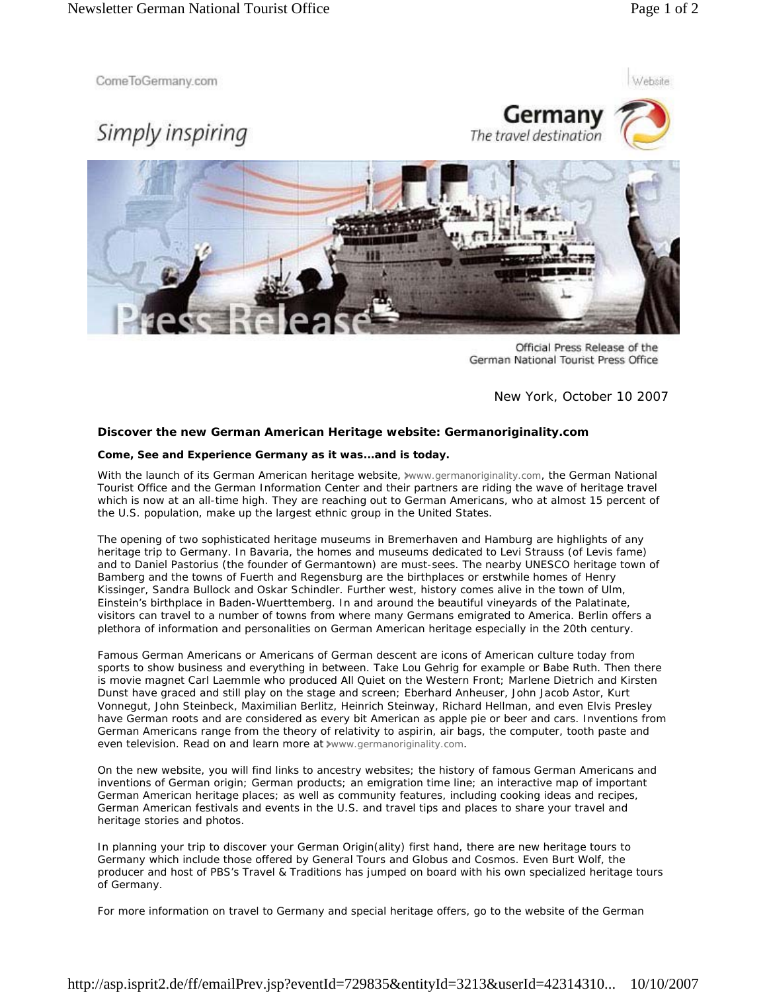Website

ComeToGermany.com

## Simply inspiring





Official Press Release of the German National Tourist Press Office

New York, October 10 2007

## **Discover the new German American Heritage website: Germanoriginality.com**

## **Come, See and Experience Germany as it was...and is today.**

With the launch of its German American heritage website, www.germanoriginality.com, the German National Tourist Office and the German Information Center and their partners are riding the wave of heritage travel which is now at an all-time high. They are reaching out to German Americans, who at almost 15 percent of the U.S. population, make up the largest ethnic group in the United States.

The opening of two sophisticated heritage museums in Bremerhaven and Hamburg are highlights of any heritage trip to Germany. In Bavaria, the homes and museums dedicated to Levi Strauss (of Levis fame) and to Daniel Pastorius (the founder of Germantown) are must-sees. The nearby UNESCO heritage town of Bamberg and the towns of Fuerth and Regensburg are the birthplaces or erstwhile homes of Henry Kissinger, Sandra Bullock and Oskar Schindler. Further west, history comes alive in the town of Ulm, Einstein's birthplace in Baden-Wuerttemberg. In and around the beautiful vineyards of the Palatinate, visitors can travel to a number of towns from where many Germans emigrated to America. Berlin offers a plethora of information and personalities on German American heritage especially in the 20th century.

Famous German Americans or Americans of German descent are icons of American culture today from sports to show business and everything in between. Take Lou Gehrig for example or Babe Ruth. Then there is movie magnet Carl Laemmle who produced All Quiet on the Western Front; Marlene Dietrich and Kirsten Dunst have graced and still play on the stage and screen; Eberhard Anheuser, John Jacob Astor, Kurt Vonnegut, John Steinbeck, Maximilian Berlitz, Heinrich Steinway, Richard Hellman, and even Elvis Presley have German roots and are considered as every bit American as apple pie or beer and cars. Inventions from German Americans range from the theory of relativity to aspirin, air bags, the computer, tooth paste and even television. Read on and learn more at xwww.germanoriginality.com.

On the new website, you will find links to ancestry websites; the history of famous German Americans and inventions of German origin; German products; an emigration time line; an interactive map of important German American heritage places; as well as community features, including cooking ideas and recipes, German American festivals and events in the U.S. and travel tips and places to share your travel and heritage stories and photos.

In planning your trip to discover your German Origin(ality) first hand, there are new heritage tours to Germany which include those offered by General Tours and Globus and Cosmos. Even Burt Wolf, the producer and host of PBS's Travel & Traditions has jumped on board with his own specialized heritage tours of Germany.

For more information on travel to Germany and special heritage offers, go to the website of the German